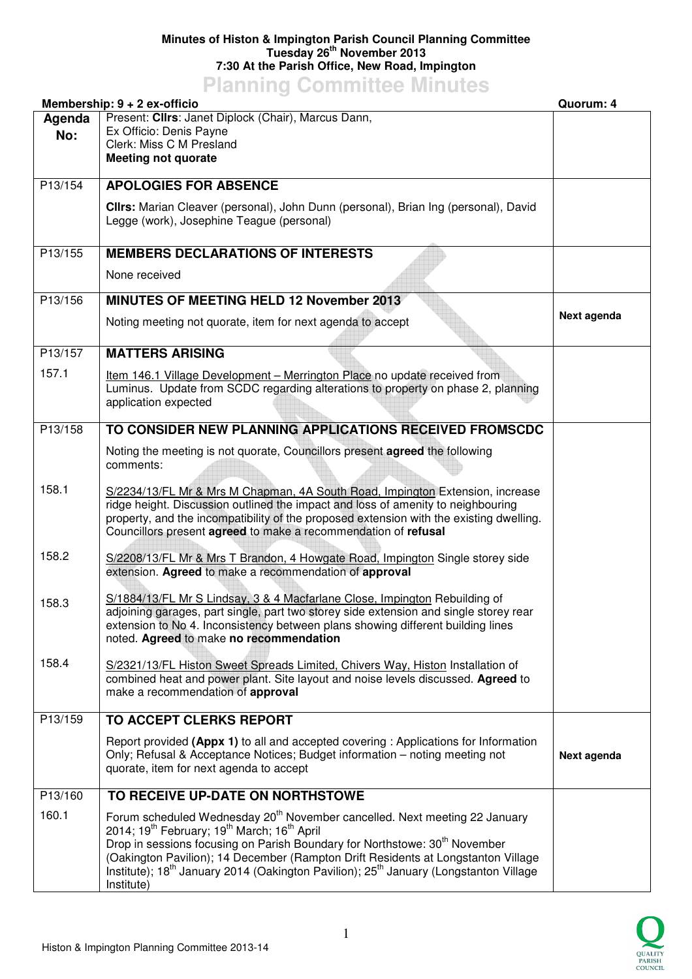## **Minutes of Histon & Impington Parish Council Planning Committee Tuesday 26th November 2013 7:30 At the Parish Office, New Road, Impington**

**Planning Committee Minutes** 

| Membership: 9 + 2 ex-officio |                                                                                                                                                                                                                                                                                                                                                                                                                                                                                         | Quorum: 4   |
|------------------------------|-----------------------------------------------------------------------------------------------------------------------------------------------------------------------------------------------------------------------------------------------------------------------------------------------------------------------------------------------------------------------------------------------------------------------------------------------------------------------------------------|-------------|
| Agenda<br>No:                | Present: Clirs: Janet Diplock (Chair), Marcus Dann,<br>Ex Officio: Denis Payne<br>Clerk: Miss C M Presland<br><b>Meeting not quorate</b>                                                                                                                                                                                                                                                                                                                                                |             |
| P13/154                      | <b>APOLOGIES FOR ABSENCE</b>                                                                                                                                                                                                                                                                                                                                                                                                                                                            |             |
|                              | Clirs: Marian Cleaver (personal), John Dunn (personal), Brian Ing (personal), David<br>Legge (work), Josephine Teague (personal)                                                                                                                                                                                                                                                                                                                                                        |             |
| P13/155                      | <b>MEMBERS DECLARATIONS OF INTERESTS</b>                                                                                                                                                                                                                                                                                                                                                                                                                                                |             |
|                              | None received                                                                                                                                                                                                                                                                                                                                                                                                                                                                           |             |
| P13/156                      | MINUTES OF MEETING HELD 12 November 2013                                                                                                                                                                                                                                                                                                                                                                                                                                                |             |
|                              | Noting meeting not quorate, item for next agenda to accept                                                                                                                                                                                                                                                                                                                                                                                                                              | Next agenda |
| P13/157                      | <b>MATTERS ARISING</b>                                                                                                                                                                                                                                                                                                                                                                                                                                                                  |             |
| 157.1                        | Item 146.1 Village Development - Merrington Place no update received from<br>Luminus. Update from SCDC regarding alterations to property on phase 2, planning<br>application expected                                                                                                                                                                                                                                                                                                   |             |
| P13/158                      | TO CONSIDER NEW PLANNING APPLICATIONS RECEIVED FROMSCDC                                                                                                                                                                                                                                                                                                                                                                                                                                 |             |
|                              | Noting the meeting is not quorate, Councillors present agreed the following<br>comments:                                                                                                                                                                                                                                                                                                                                                                                                |             |
| 158.1                        | S/2234/13/FL Mr & Mrs M Chapman, 4A South Road, Impington Extension, increase<br>ridge height. Discussion outlined the impact and loss of amenity to neighbouring<br>property, and the incompatibility of the proposed extension with the existing dwelling.<br>Councillors present agreed to make a recommendation of refusal                                                                                                                                                          |             |
| 158.2                        | S/2208/13/FL Mr & Mrs T Brandon, 4 Howgate Road, Impington Single storey side<br>extension. Agreed to make a recommendation of approval                                                                                                                                                                                                                                                                                                                                                 |             |
| 158.3                        | S/1884/13/FL Mr S Lindsay, 3 & 4 Macfarlane Close, Impington Rebuilding of<br>adjoining garages, part single, part two storey side extension and single storey rear<br>extension to No 4. Inconsistency between plans showing different building lines<br>noted. Agreed to make no recommendation                                                                                                                                                                                       |             |
| 158.4                        | S/2321/13/FL Histon Sweet Spreads Limited, Chivers Way, Histon Installation of<br>combined heat and power plant. Site layout and noise levels discussed. Agreed to<br>make a recommendation of approval                                                                                                                                                                                                                                                                                 |             |
| P13/159                      | TO ACCEPT CLERKS REPORT                                                                                                                                                                                                                                                                                                                                                                                                                                                                 |             |
|                              | Report provided (Appx 1) to all and accepted covering : Applications for Information<br>Only; Refusal & Acceptance Notices; Budget information - noting meeting not<br>quorate, item for next agenda to accept                                                                                                                                                                                                                                                                          | Next agenda |
| P13/160                      | TO RECEIVE UP-DATE ON NORTHSTOWE                                                                                                                                                                                                                                                                                                                                                                                                                                                        |             |
| 160.1                        | Forum scheduled Wednesday 20 <sup>th</sup> November cancelled. Next meeting 22 January<br>2014; 19 <sup>th</sup> February; 19 <sup>th</sup> March; 16 <sup>th</sup> April<br>Drop in sessions focusing on Parish Boundary for Northstowe: 30 <sup>th</sup> November<br>(Oakington Pavilion); 14 December (Rampton Drift Residents at Longstanton Village<br>Institute); 18 <sup>th</sup> January 2014 (Oakington Pavilion); 25 <sup>th</sup> January (Longstanton Village<br>Institute) |             |